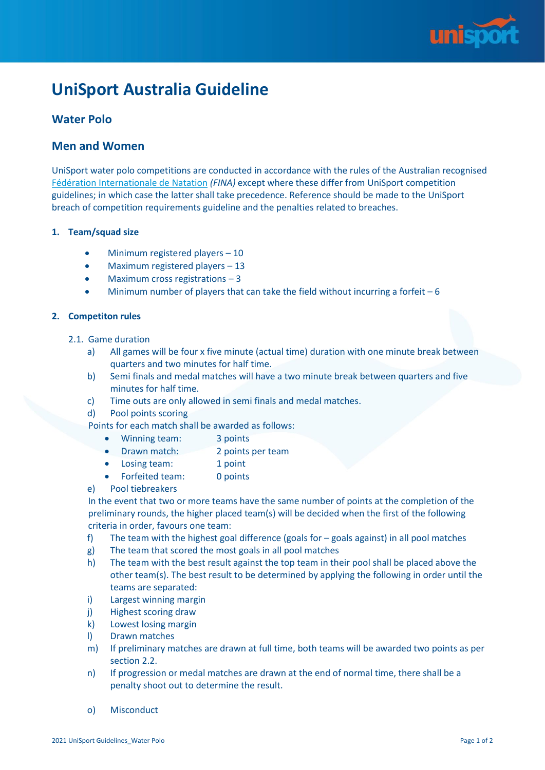

# **UniSport Australia Guideline**

## **Water Polo**

### **Men and Women**

UniSport water polo competitions are conducted in accordance with the rules of the Australian recognised [Fédération Internationale de Natation](https://www.waterpoloaustralia.com.au/info-hub/rules/) *(FINA)* except where these differ from UniSport competition guidelines; in which case the latter shall take precedence. Reference should be made to the UniSport breach of competition requirements guideline and the penalties related to breaches.

#### **1. Team/squad size**

- Minimum registered players 10
- Maximum registered players 13
- Maximum cross registrations 3
- Minimum number of players that can take the field without incurring a forfeit  $-6$

#### **2. Competiton rules**

- 2.1. Game duration
	- a) All games will be four x five minute (actual time) duration with one minute break between quarters and two minutes for half time.
	- b) Semi finals and medal matches will have a two minute break between quarters and five minutes for half time.
	- c) Time outs are only allowed in semi finals and medal matches.
	- d) Pool points scoring

Points for each match shall be awarded as follows:

- Winning team: 3 points
- Drawn match: 2 points per team
- Losing team: 1 point
- Forfeited team: 0 points
- e) Pool tiebreakers

In the event that two or more teams have the same number of points at the completion of the preliminary rounds, the higher placed team(s) will be decided when the first of the following criteria in order, favours one team:

- f) The team with the highest goal difference (goals for  $-$  goals against) in all pool matches
- g) The team that scored the most goals in all pool matches
- h) The team with the best result against the top team in their pool shall be placed above the other team(s). The best result to be determined by applying the following in order until the teams are separated:
- i) Largest winning margin
- j) Highest scoring draw
- k) Lowest losing margin
- l) Drawn matches
- m) If preliminary matches are drawn at full time, both teams will be awarded two points as per section 2.2.
- n) If progression or medal matches are drawn at the end of normal time, there shall be a penalty shoot out to determine the result.
- o) Misconduct